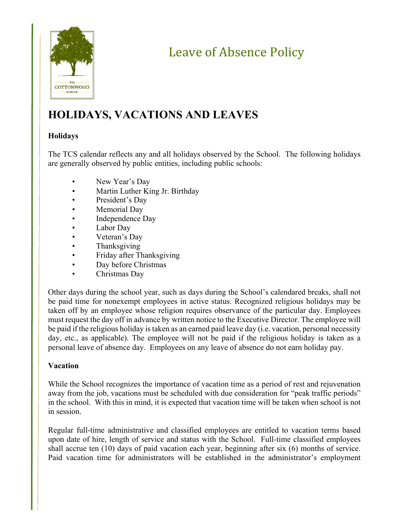

# Leave of Absence Policy

# **HOLIDAYS, VACATIONS AND LEAVES**

# **Holidays**

The TCS calendar reflects any and all holidays observed by the School. The following holidays are generally observed by public entities, including public schools:

- New Year's Day
- Martin Luther King Jr. Birthday
- President's Day
- Memorial Day
- Independence Day
- Labor Day
- Veteran's Day
- Thanksgiving
- Friday after Thanksgiving
- Day before Christmas
- Christmas Day

Other days during the school year, such as days during the School's calendared breaks, shall not be paid time for nonexempt employees in active status. Recognized religious holidays may be taken off by an employee whose religion requires observance of the particular day. Employees must request the day off in advance by written notice to the Executive Director. The employee will be paid if the religious holiday is taken as an earned paid leave day (i.e. vacation, personal necessity day, etc., as applicable). The employee will not be paid if the religious holiday is taken as a personal leave of absence day. Employees on any leave of absence do not earn holiday pay.

# **Vacation**

While the School recognizes the importance of vacation time as a period of rest and rejuvenation away from the job, vacations must be scheduled with due consideration for "peak traffic periods" in the school. With this in mind, it is expected that vacation time will be taken when school is not in session.

Regular full-time administrative and classified employees are entitled to vacation terms based upon date of hire, length of service and status with the School. Full-time classified employees shall accrue ten (10) days of paid vacation each year, beginning after six (6) months of service. Paid vacation time for administrators will be established in the administrator's employment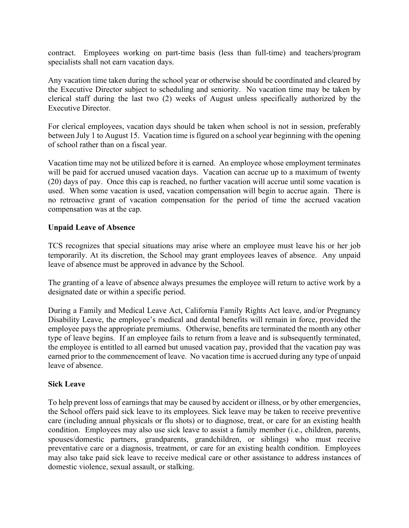contract. Employees working on part-time basis (less than full-time) and teachers/program specialists shall not earn vacation days.

Any vacation time taken during the school year or otherwise should be coordinated and cleared by the Executive Director subject to scheduling and seniority. No vacation time may be taken by clerical staff during the last two (2) weeks of August unless specifically authorized by the Executive Director.

For clerical employees, vacation days should be taken when school is not in session, preferably between July 1 to August 15. Vacation time is figured on a school year beginning with the opening of school rather than on a fiscal year.

Vacation time may not be utilized before it is earned. An employee whose employment terminates will be paid for accrued unused vacation days. Vacation can accrue up to a maximum of twenty (20) days of pay. Once this cap is reached, no further vacation will accrue until some vacation is used. When some vacation is used, vacation compensation will begin to accrue again. There is no retroactive grant of vacation compensation for the period of time the accrued vacation compensation was at the cap.

#### **Unpaid Leave of Absence**

TCS recognizes that special situations may arise where an employee must leave his or her job temporarily. At its discretion, the School may grant employees leaves of absence. Any unpaid leave of absence must be approved in advance by the School.

The granting of a leave of absence always presumes the employee will return to active work by a designated date or within a specific period.

During a Family and Medical Leave Act, California Family Rights Act leave, and/or Pregnancy Disability Leave, the employee's medical and dental benefits will remain in force, provided the employee pays the appropriate premiums. Otherwise, benefits are terminated the month any other type of leave begins. If an employee fails to return from a leave and is subsequently terminated, the employee is entitled to all earned but unused vacation pay, provided that the vacation pay was earned prior to the commencement of leave. No vacation time is accrued during any type of unpaid leave of absence.

#### **Sick Leave**

To help prevent loss of earnings that may be caused by accident or illness, or by other emergencies, the School offers paid sick leave to its employees. Sick leave may be taken to receive preventive care (including annual physicals or flu shots) or to diagnose, treat, or care for an existing health condition. Employees may also use sick leave to assist a family member (i.e., children, parents, spouses/domestic partners, grandparents, grandchildren, or siblings) who must receive preventative care or a diagnosis, treatment, or care for an existing health condition. Employees may also take paid sick leave to receive medical care or other assistance to address instances of domestic violence, sexual assault, or stalking.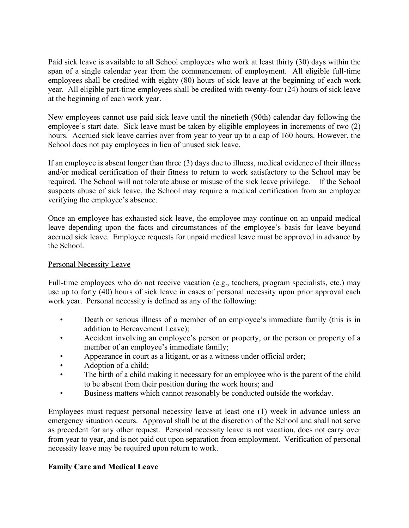Paid sick leave is available to all School employees who work at least thirty (30) days within the span of a single calendar year from the commencement of employment. All eligible full-time employees shall be credited with eighty (80) hours of sick leave at the beginning of each work year. All eligible part-time employees shall be credited with twenty-four (24) hours of sick leave at the beginning of each work year.

New employees cannot use paid sick leave until the ninetieth (90th) calendar day following the employee's start date. Sick leave must be taken by eligible employees in increments of two (2) hours. Accrued sick leave carries over from year to year up to a cap of 160 hours. However, the School does not pay employees in lieu of unused sick leave.

If an employee is absent longer than three (3) days due to illness, medical evidence of their illness and/or medical certification of their fitness to return to work satisfactory to the School may be required. The School will not tolerate abuse or misuse of the sick leave privilege. If the School suspects abuse of sick leave, the School may require a medical certification from an employee verifying the employee's absence.

Once an employee has exhausted sick leave, the employee may continue on an unpaid medical leave depending upon the facts and circumstances of the employee's basis for leave beyond accrued sick leave. Employee requests for unpaid medical leave must be approved in advance by the School.

#### Personal Necessity Leave

Full-time employees who do not receive vacation (e.g., teachers, program specialists, etc.) may use up to forty (40) hours of sick leave in cases of personal necessity upon prior approval each work year. Personal necessity is defined as any of the following:

- Death or serious illness of a member of an employee's immediate family (this is in addition to Bereavement Leave);
- Accident involving an employee's person or property, or the person or property of a member of an employee's immediate family;
- Appearance in court as a litigant, or as a witness under official order;
- Adoption of a child;
- The birth of a child making it necessary for an employee who is the parent of the child to be absent from their position during the work hours; and
- Business matters which cannot reasonably be conducted outside the workday.

Employees must request personal necessity leave at least one (1) week in advance unless an emergency situation occurs. Approval shall be at the discretion of the School and shall not serve as precedent for any other request. Personal necessity leave is not vacation, does not carry over from year to year, and is not paid out upon separation from employment. Verification of personal necessity leave may be required upon return to work.

# **Family Care and Medical Leave**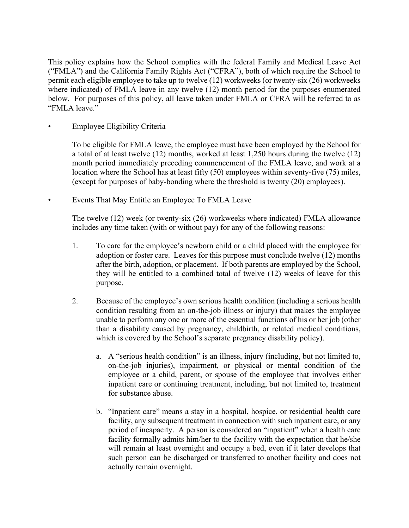This policy explains how the School complies with the federal Family and Medical Leave Act ("FMLA") and the California Family Rights Act ("CFRA"), both of which require the School to permit each eligible employee to take up to twelve (12) workweeks (or twenty-six (26) workweeks where indicated) of FMLA leave in any twelve (12) month period for the purposes enumerated below. For purposes of this policy, all leave taken under FMLA or CFRA will be referred to as "FMLA leave."

• Employee Eligibility Criteria

To be eligible for FMLA leave, the employee must have been employed by the School for a total of at least twelve (12) months, worked at least 1,250 hours during the twelve (12) month period immediately preceding commencement of the FMLA leave, and work at a location where the School has at least fifty (50) employees within seventy-five (75) miles, (except for purposes of baby-bonding where the threshold is twenty (20) employees).

• Events That May Entitle an Employee To FMLA Leave

The twelve (12) week (or twenty-six (26) workweeks where indicated) FMLA allowance includes any time taken (with or without pay) for any of the following reasons:

- 1. To care for the employee's newborn child or a child placed with the employee for adoption or foster care. Leaves for this purpose must conclude twelve (12) months after the birth, adoption, or placement. If both parents are employed by the School, they will be entitled to a combined total of twelve (12) weeks of leave for this purpose.
- 2. Because of the employee's own serious health condition (including a serious health condition resulting from an on-the-job illness or injury) that makes the employee unable to perform any one or more of the essential functions of his or her job (other than a disability caused by pregnancy, childbirth, or related medical conditions, which is covered by the School's separate pregnancy disability policy).
	- a. A "serious health condition" is an illness, injury (including, but not limited to, on-the-job injuries), impairment, or physical or mental condition of the employee or a child, parent, or spouse of the employee that involves either inpatient care or continuing treatment, including, but not limited to, treatment for substance abuse.
	- b. "Inpatient care" means a stay in a hospital, hospice, or residential health care facility, any subsequent treatment in connection with such inpatient care, or any period of incapacity. A person is considered an "inpatient" when a health care facility formally admits him/her to the facility with the expectation that he/she will remain at least overnight and occupy a bed, even if it later develops that such person can be discharged or transferred to another facility and does not actually remain overnight.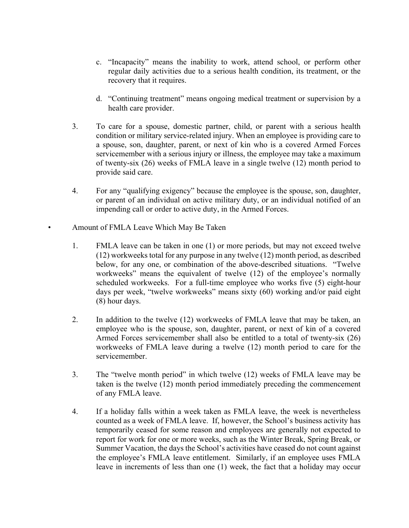- c. "Incapacity" means the inability to work, attend school, or perform other regular daily activities due to a serious health condition, its treatment, or the recovery that it requires.
- d. "Continuing treatment" means ongoing medical treatment or supervision by a health care provider.
- 3. To care for a spouse, domestic partner, child, or parent with a serious health condition or military service-related injury. When an employee is providing care to a spouse, son, daughter, parent, or next of kin who is a covered Armed Forces servicemember with a serious injury or illness, the employee may take a maximum of twenty-six (26) weeks of FMLA leave in a single twelve (12) month period to provide said care.
- 4. For any "qualifying exigency" because the employee is the spouse, son, daughter, or parent of an individual on active military duty, or an individual notified of an impending call or order to active duty, in the Armed Forces.
- Amount of FMLA Leave Which May Be Taken
	- 1. FMLA leave can be taken in one (1) or more periods, but may not exceed twelve (12) workweeks total for any purpose in any twelve (12) month period, as described below, for any one, or combination of the above-described situations. "Twelve workweeks" means the equivalent of twelve (12) of the employee's normally scheduled workweeks. For a full-time employee who works five (5) eight-hour days per week, "twelve workweeks" means sixty (60) working and/or paid eight (8) hour days.
	- 2. In addition to the twelve (12) workweeks of FMLA leave that may be taken, an employee who is the spouse, son, daughter, parent, or next of kin of a covered Armed Forces servicemember shall also be entitled to a total of twenty-six (26) workweeks of FMLA leave during a twelve (12) month period to care for the servicemember.
	- 3. The "twelve month period" in which twelve (12) weeks of FMLA leave may be taken is the twelve (12) month period immediately preceding the commencement of any FMLA leave.
	- 4. If a holiday falls within a week taken as FMLA leave, the week is nevertheless counted as a week of FMLA leave. If, however, the School's business activity has temporarily ceased for some reason and employees are generally not expected to report for work for one or more weeks, such as the Winter Break, Spring Break, or Summer Vacation, the days the School's activities have ceased do not count against the employee's FMLA leave entitlement. Similarly, if an employee uses FMLA leave in increments of less than one (1) week, the fact that a holiday may occur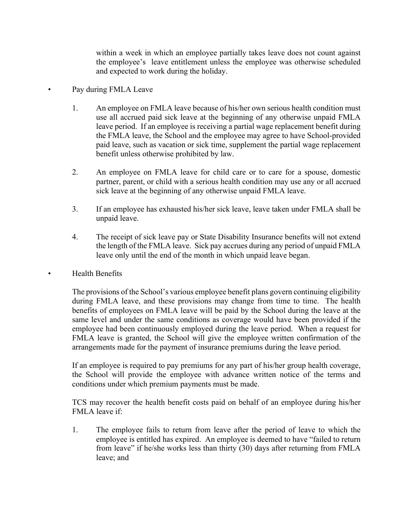within a week in which an employee partially takes leave does not count against the employee's leave entitlement unless the employee was otherwise scheduled and expected to work during the holiday.

#### Pay during FMLA Leave

- 1. An employee on FMLA leave because of his/her own serious health condition must use all accrued paid sick leave at the beginning of any otherwise unpaid FMLA leave period. If an employee is receiving a partial wage replacement benefit during the FMLA leave, the School and the employee may agree to have School-provided paid leave, such as vacation or sick time, supplement the partial wage replacement benefit unless otherwise prohibited by law.
- 2. An employee on FMLA leave for child care or to care for a spouse, domestic partner, parent, or child with a serious health condition may use any or all accrued sick leave at the beginning of any otherwise unpaid FMLA leave.
- 3. If an employee has exhausted his/her sick leave, leave taken under FMLA shall be unpaid leave.
- 4. The receipt of sick leave pay or State Disability Insurance benefits will not extend the length of the FMLA leave. Sick pay accrues during any period of unpaid FMLA leave only until the end of the month in which unpaid leave began.

#### • Health Benefits

The provisions of the School's various employee benefit plans govern continuing eligibility during FMLA leave, and these provisions may change from time to time. The health benefits of employees on FMLA leave will be paid by the School during the leave at the same level and under the same conditions as coverage would have been provided if the employee had been continuously employed during the leave period. When a request for FMLA leave is granted, the School will give the employee written confirmation of the arrangements made for the payment of insurance premiums during the leave period.

If an employee is required to pay premiums for any part of his/her group health coverage, the School will provide the employee with advance written notice of the terms and conditions under which premium payments must be made.

TCS may recover the health benefit costs paid on behalf of an employee during his/her FMLA leave if:

1. The employee fails to return from leave after the period of leave to which the employee is entitled has expired. An employee is deemed to have "failed to return from leave" if he/she works less than thirty (30) days after returning from FMLA leave; and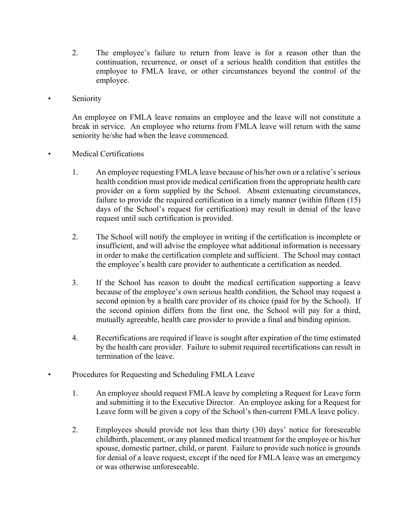- 2. The employee's failure to return from leave is for a reason other than the continuation, recurrence, or onset of a serious health condition that entitles the employee to FMLA leave, or other circumstances beyond the control of the employee.
- **Seniority**

An employee on FMLA leave remains an employee and the leave will not constitute a break in service. An employee who returns from FMLA leave will return with the same seniority he/she had when the leave commenced.

- Medical Certifications
	- 1. An employee requesting FMLA leave because of his/her own or a relative's serious health condition must provide medical certification from the appropriate health care provider on a form supplied by the School. Absent extenuating circumstances, failure to provide the required certification in a timely manner (within fifteen (15) days of the School's request for certification) may result in denial of the leave request until such certification is provided.
	- 2. The School will notify the employee in writing if the certification is incomplete or insufficient, and will advise the employee what additional information is necessary in order to make the certification complete and sufficient. The School may contact the employee's health care provider to authenticate a certification as needed.
	- 3. If the School has reason to doubt the medical certification supporting a leave because of the employee's own serious health condition, the School may request a second opinion by a health care provider of its choice (paid for by the School). If the second opinion differs from the first one, the School will pay for a third, mutually agreeable, health care provider to provide a final and binding opinion.
	- 4. Recertifications are required if leave is sought after expiration of the time estimated by the health care provider. Failure to submit required recertifications can result in termination of the leave.
	- Procedures for Requesting and Scheduling FMLA Leave
	- 1. An employee should request FMLA leave by completing a Request for Leave form and submitting it to the Executive Director. An employee asking for a Request for Leave form will be given a copy of the School's then-current FMLA leave policy.
	- 2. Employees should provide not less than thirty (30) days' notice for foreseeable childbirth, placement, or any planned medical treatment for the employee or his/her spouse, domestic partner, child, or parent. Failure to provide such notice is grounds for denial of a leave request, except if the need for FMLA leave was an emergency or was otherwise unforeseeable.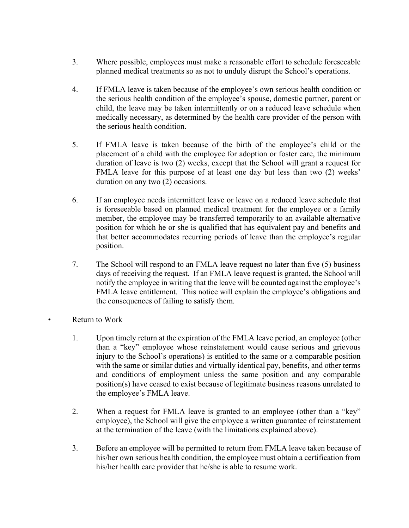- 3. Where possible, employees must make a reasonable effort to schedule foreseeable planned medical treatments so as not to unduly disrupt the School's operations.
- 4. If FMLA leave is taken because of the employee's own serious health condition or the serious health condition of the employee's spouse, domestic partner, parent or child, the leave may be taken intermittently or on a reduced leave schedule when medically necessary, as determined by the health care provider of the person with the serious health condition.
- 5. If FMLA leave is taken because of the birth of the employee's child or the placement of a child with the employee for adoption or foster care, the minimum duration of leave is two (2) weeks, except that the School will grant a request for FMLA leave for this purpose of at least one day but less than two (2) weeks' duration on any two (2) occasions.
- 6. If an employee needs intermittent leave or leave on a reduced leave schedule that is foreseeable based on planned medical treatment for the employee or a family member, the employee may be transferred temporarily to an available alternative position for which he or she is qualified that has equivalent pay and benefits and that better accommodates recurring periods of leave than the employee's regular position.
- 7. The School will respond to an FMLA leave request no later than five (5) business days of receiving the request. If an FMLA leave request is granted, the School will notify the employee in writing that the leave will be counted against the employee's FMLA leave entitlement. This notice will explain the employee's obligations and the consequences of failing to satisfy them.
- Return to Work
	- 1. Upon timely return at the expiration of the FMLA leave period, an employee (other than a "key" employee whose reinstatement would cause serious and grievous injury to the School's operations) is entitled to the same or a comparable position with the same or similar duties and virtually identical pay, benefits, and other terms and conditions of employment unless the same position and any comparable position(s) have ceased to exist because of legitimate business reasons unrelated to the employee's FMLA leave.
	- 2. When a request for FMLA leave is granted to an employee (other than a "key" employee), the School will give the employee a written guarantee of reinstatement at the termination of the leave (with the limitations explained above).
	- 3. Before an employee will be permitted to return from FMLA leave taken because of his/her own serious health condition, the employee must obtain a certification from his/her health care provider that he/she is able to resume work.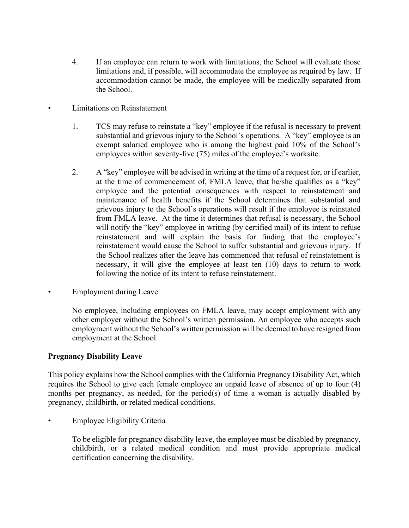- 4. If an employee can return to work with limitations, the School will evaluate those limitations and, if possible, will accommodate the employee as required by law. If accommodation cannot be made, the employee will be medically separated from the School.
- Limitations on Reinstatement
	- 1. TCS may refuse to reinstate a "key" employee if the refusal is necessary to prevent substantial and grievous injury to the School's operations. A "key" employee is an exempt salaried employee who is among the highest paid 10% of the School's employees within seventy-five (75) miles of the employee's worksite.
	- 2. A "key" employee will be advised in writing at the time of a request for, or if earlier, at the time of commencement of, FMLA leave, that he/she qualifies as a "key" employee and the potential consequences with respect to reinstatement and maintenance of health benefits if the School determines that substantial and grievous injury to the School's operations will result if the employee is reinstated from FMLA leave. At the time it determines that refusal is necessary, the School will notify the "key" employee in writing (by certified mail) of its intent to refuse reinstatement and will explain the basis for finding that the employee's reinstatement would cause the School to suffer substantial and grievous injury. If the School realizes after the leave has commenced that refusal of reinstatement is necessary, it will give the employee at least ten (10) days to return to work following the notice of its intent to refuse reinstatement.
- Employment during Leave

No employee, including employees on FMLA leave, may accept employment with any other employer without the School's written permission. An employee who accepts such employment without the School's written permission will be deemed to have resigned from employment at the School.

#### **Pregnancy Disability Leave**

This policy explains how the School complies with the California Pregnancy Disability Act, which requires the School to give each female employee an unpaid leave of absence of up to four (4) months per pregnancy, as needed, for the period(s) of time a woman is actually disabled by pregnancy, childbirth, or related medical conditions.

• Employee Eligibility Criteria

To be eligible for pregnancy disability leave, the employee must be disabled by pregnancy, childbirth, or a related medical condition and must provide appropriate medical certification concerning the disability.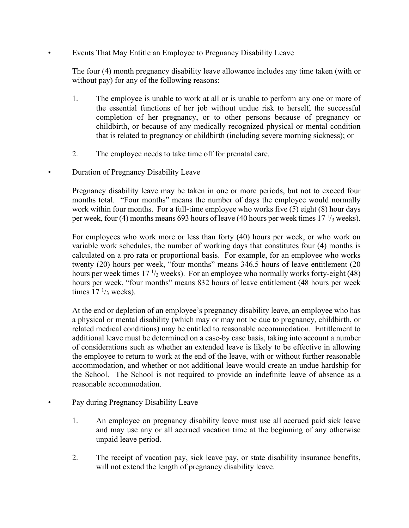• Events That May Entitle an Employee to Pregnancy Disability Leave

The four (4) month pregnancy disability leave allowance includes any time taken (with or without pay) for any of the following reasons:

- 1. The employee is unable to work at all or is unable to perform any one or more of the essential functions of her job without undue risk to herself, the successful completion of her pregnancy, or to other persons because of pregnancy or childbirth, or because of any medically recognized physical or mental condition that is related to pregnancy or childbirth (including severe morning sickness); or
- 2. The employee needs to take time off for prenatal care.
- Duration of Pregnancy Disability Leave

Pregnancy disability leave may be taken in one or more periods, but not to exceed four months total. "Four months" means the number of days the employee would normally work within four months. For a full-time employee who works five (5) eight (8) hour days per week, four (4) months means 693 hours of leave (40 hours per week times  $17<sup>1</sup>/3$  weeks).

For employees who work more or less than forty (40) hours per week, or who work on variable work schedules, the number of working days that constitutes four (4) months is calculated on a pro rata or proportional basis. For example, for an employee who works twenty (20) hours per week, "four months" means 346.5 hours of leave entitlement (20 hours per week times  $17 \frac{1}{3}$  weeks). For an employee who normally works forty-eight (48) hours per week, "four months" means 832 hours of leave entitlement (48 hours per week times  $17 \frac{1}{3}$  weeks).

At the end or depletion of an employee's pregnancy disability leave, an employee who has a physical or mental disability (which may or may not be due to pregnancy, childbirth, or related medical conditions) may be entitled to reasonable accommodation. Entitlement to additional leave must be determined on a case-by case basis, taking into account a number of considerations such as whether an extended leave is likely to be effective in allowing the employee to return to work at the end of the leave, with or without further reasonable accommodation, and whether or not additional leave would create an undue hardship for the School. The School is not required to provide an indefinite leave of absence as a reasonable accommodation.

Pay during Pregnancy Disability Leave

- 1. An employee on pregnancy disability leave must use all accrued paid sick leave and may use any or all accrued vacation time at the beginning of any otherwise unpaid leave period.
- 2. The receipt of vacation pay, sick leave pay, or state disability insurance benefits, will not extend the length of pregnancy disability leave.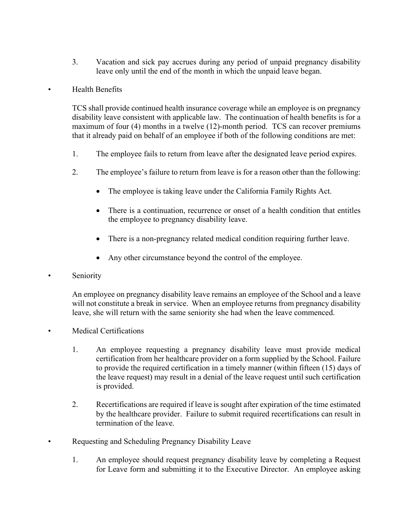3. Vacation and sick pay accrues during any period of unpaid pregnancy disability leave only until the end of the month in which the unpaid leave began.

#### • Health Benefits

TCS shall provide continued health insurance coverage while an employee is on pregnancy disability leave consistent with applicable law. The continuation of health benefits is for a maximum of four (4) months in a twelve (12)-month period. TCS can recover premiums that it already paid on behalf of an employee if both of the following conditions are met:

- 1. The employee fails to return from leave after the designated leave period expires.
- 2. The employee's failure to return from leave is for a reason other than the following:
	- The employee is taking leave under the California Family Rights Act.
	- There is a continuation, recurrence or onset of a health condition that entitles the employee to pregnancy disability leave.
	- There is a non-pregnancy related medical condition requiring further leave.
	- Any other circumstance beyond the control of the employee.
- **Seniority**

An employee on pregnancy disability leave remains an employee of the School and a leave will not constitute a break in service. When an employee returns from pregnancy disability leave, she will return with the same seniority she had when the leave commenced.

- Medical Certifications
	- 1. An employee requesting a pregnancy disability leave must provide medical certification from her healthcare provider on a form supplied by the School. Failure to provide the required certification in a timely manner (within fifteen (15) days of the leave request) may result in a denial of the leave request until such certification is provided.
	- 2. Recertifications are required if leave is sought after expiration of the time estimated by the healthcare provider. Failure to submit required recertifications can result in termination of the leave.
- Requesting and Scheduling Pregnancy Disability Leave
	- 1. An employee should request pregnancy disability leave by completing a Request for Leave form and submitting it to the Executive Director. An employee asking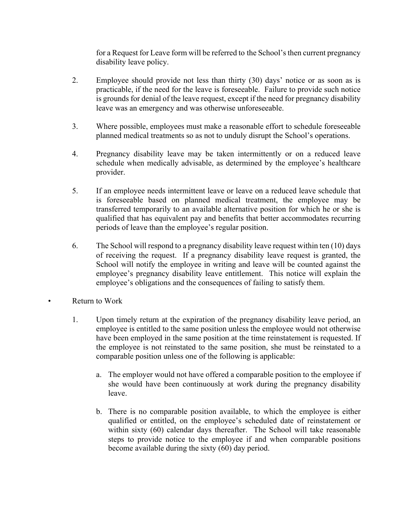for a Request for Leave form will be referred to the School's then current pregnancy disability leave policy.

- 2. Employee should provide not less than thirty (30) days' notice or as soon as is practicable, if the need for the leave is foreseeable. Failure to provide such notice is grounds for denial of the leave request, except if the need for pregnancy disability leave was an emergency and was otherwise unforeseeable.
- 3. Where possible, employees must make a reasonable effort to schedule foreseeable planned medical treatments so as not to unduly disrupt the School's operations.
- 4. Pregnancy disability leave may be taken intermittently or on a reduced leave schedule when medically advisable, as determined by the employee's healthcare provider.
- 5. If an employee needs intermittent leave or leave on a reduced leave schedule that is foreseeable based on planned medical treatment, the employee may be transferred temporarily to an available alternative position for which he or she is qualified that has equivalent pay and benefits that better accommodates recurring periods of leave than the employee's regular position.
- 6. The School will respond to a pregnancy disability leave request within ten (10) days of receiving the request. If a pregnancy disability leave request is granted, the School will notify the employee in writing and leave will be counted against the employee's pregnancy disability leave entitlement. This notice will explain the employee's obligations and the consequences of failing to satisfy them.
- Return to Work
	- 1. Upon timely return at the expiration of the pregnancy disability leave period, an employee is entitled to the same position unless the employee would not otherwise have been employed in the same position at the time reinstatement is requested. If the employee is not reinstated to the same position, she must be reinstated to a comparable position unless one of the following is applicable:
		- a. The employer would not have offered a comparable position to the employee if she would have been continuously at work during the pregnancy disability leave.
		- b. There is no comparable position available, to which the employee is either qualified or entitled, on the employee's scheduled date of reinstatement or within sixty (60) calendar days thereafter. The School will take reasonable steps to provide notice to the employee if and when comparable positions become available during the sixty (60) day period.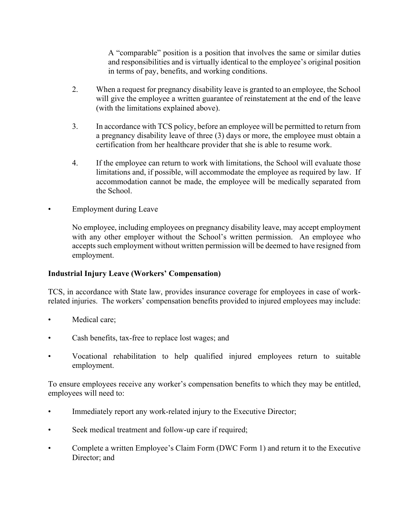A "comparable" position is a position that involves the same or similar duties and responsibilities and is virtually identical to the employee's original position in terms of pay, benefits, and working conditions.

- 2. When a request for pregnancy disability leave is granted to an employee, the School will give the employee a written guarantee of reinstatement at the end of the leave (with the limitations explained above).
- 3. In accordance with TCS policy, before an employee will be permitted to return from a pregnancy disability leave of three (3) days or more, the employee must obtain a certification from her healthcare provider that she is able to resume work.
- 4. If the employee can return to work with limitations, the School will evaluate those limitations and, if possible, will accommodate the employee as required by law. If accommodation cannot be made, the employee will be medically separated from the School.
- Employment during Leave

No employee, including employees on pregnancy disability leave, may accept employment with any other employer without the School's written permission. An employee who accepts such employment without written permission will be deemed to have resigned from employment.

# **Industrial Injury Leave (Workers' Compensation)**

TCS, in accordance with State law, provides insurance coverage for employees in case of workrelated injuries. The workers' compensation benefits provided to injured employees may include:

- Medical care;
- Cash benefits, tax-free to replace lost wages; and
- Vocational rehabilitation to help qualified injured employees return to suitable employment.

To ensure employees receive any worker's compensation benefits to which they may be entitled, employees will need to:

- Immediately report any work-related injury to the Executive Director;
- Seek medical treatment and follow-up care if required;
- Complete a written Employee's Claim Form (DWC Form 1) and return it to the Executive Director; and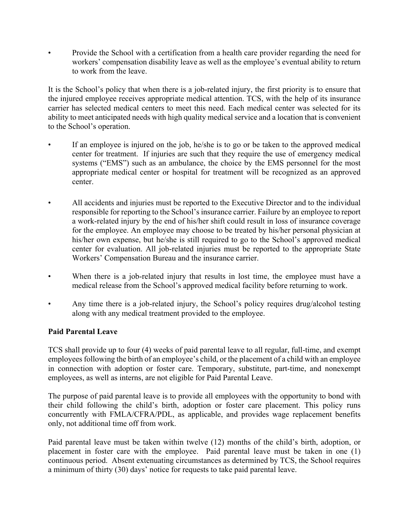• Provide the School with a certification from a health care provider regarding the need for workers' compensation disability leave as well as the employee's eventual ability to return to work from the leave.

It is the School's policy that when there is a job-related injury, the first priority is to ensure that the injured employee receives appropriate medical attention. TCS, with the help of its insurance carrier has selected medical centers to meet this need. Each medical center was selected for its ability to meet anticipated needs with high quality medical service and a location that is convenient to the School's operation.

- If an employee is injured on the job, he/she is to go or be taken to the approved medical center for treatment. If injuries are such that they require the use of emergency medical systems ("EMS") such as an ambulance, the choice by the EMS personnel for the most appropriate medical center or hospital for treatment will be recognized as an approved center.
- All accidents and injuries must be reported to the Executive Director and to the individual responsible for reporting to the School's insurance carrier. Failure by an employee to report a work-related injury by the end of his/her shift could result in loss of insurance coverage for the employee. An employee may choose to be treated by his/her personal physician at his/her own expense, but he/she is still required to go to the School's approved medical center for evaluation. All job-related injuries must be reported to the appropriate State Workers' Compensation Bureau and the insurance carrier.
- When there is a job-related injury that results in lost time, the employee must have a medical release from the School's approved medical facility before returning to work.
- Any time there is a job-related injury, the School's policy requires drug/alcohol testing along with any medical treatment provided to the employee.

# **Paid Parental Leave**

TCS shall provide up to four (4) weeks of paid parental leave to all regular, full-time, and exempt employees following the birth of an employee's child, or the placement of a child with an employee in connection with adoption or foster care. Temporary, substitute, part-time, and nonexempt employees, as well as interns, are not eligible for Paid Parental Leave.

The purpose of paid parental leave is to provide all employees with the opportunity to bond with their child following the child's birth, adoption or foster care placement. This policy runs concurrently with FMLA/CFRA/PDL, as applicable, and provides wage replacement benefits only, not additional time off from work.

Paid parental leave must be taken within twelve (12) months of the child's birth, adoption, or placement in foster care with the employee. Paid parental leave must be taken in one (1) continuous period. Absent extenuating circumstances as determined by TCS, the School requires a minimum of thirty (30) days' notice for requests to take paid parental leave.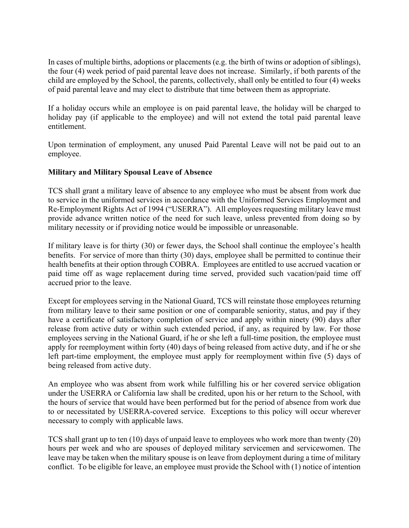In cases of multiple births, adoptions or placements (e.g. the birth of twins or adoption of siblings), the four (4) week period of paid parental leave does not increase. Similarly, if both parents of the child are employed by the School, the parents, collectively, shall only be entitled to four (4) weeks of paid parental leave and may elect to distribute that time between them as appropriate.

If a holiday occurs while an employee is on paid parental leave, the holiday will be charged to holiday pay (if applicable to the employee) and will not extend the total paid parental leave entitlement.

Upon termination of employment, any unused Paid Parental Leave will not be paid out to an employee.

#### **Military and Military Spousal Leave of Absence**

TCS shall grant a military leave of absence to any employee who must be absent from work due to service in the uniformed services in accordance with the Uniformed Services Employment and Re-Employment Rights Act of 1994 ("USERRA"). All employees requesting military leave must provide advance written notice of the need for such leave, unless prevented from doing so by military necessity or if providing notice would be impossible or unreasonable.

If military leave is for thirty (30) or fewer days, the School shall continue the employee's health benefits. For service of more than thirty (30) days, employee shall be permitted to continue their health benefits at their option through COBRA. Employees are entitled to use accrued vacation or paid time off as wage replacement during time served, provided such vacation/paid time off accrued prior to the leave.

Except for employees serving in the National Guard, TCS will reinstate those employees returning from military leave to their same position or one of comparable seniority, status, and pay if they have a certificate of satisfactory completion of service and apply within ninety (90) days after release from active duty or within such extended period, if any, as required by law. For those employees serving in the National Guard, if he or she left a full-time position, the employee must apply for reemployment within forty (40) days of being released from active duty, and if he or she left part-time employment, the employee must apply for reemployment within five (5) days of being released from active duty.

An employee who was absent from work while fulfilling his or her covered service obligation under the USERRA or California law shall be credited, upon his or her return to the School, with the hours of service that would have been performed but for the period of absence from work due to or necessitated by USERRA-covered service. Exceptions to this policy will occur wherever necessary to comply with applicable laws.

TCS shall grant up to ten (10) days of unpaid leave to employees who work more than twenty (20) hours per week and who are spouses of deployed military servicemen and servicewomen. The leave may be taken when the military spouse is on leave from deployment during a time of military conflict. To be eligible for leave, an employee must provide the School with (1) notice of intention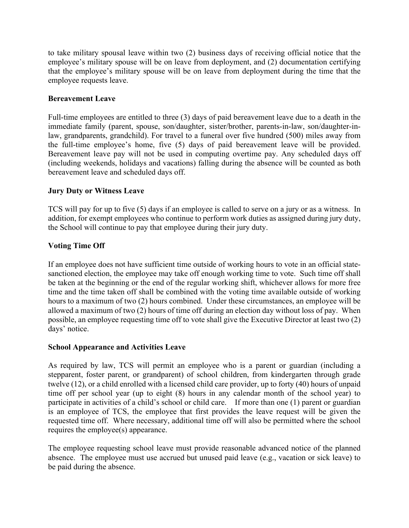to take military spousal leave within two (2) business days of receiving official notice that the employee's military spouse will be on leave from deployment, and (2) documentation certifying that the employee's military spouse will be on leave from deployment during the time that the employee requests leave.

# **Bereavement Leave**

Full-time employees are entitled to three (3) days of paid bereavement leave due to a death in the immediate family (parent, spouse, son/daughter, sister/brother, parents-in-law, son/daughter-inlaw, grandparents, grandchild). For travel to a funeral over five hundred (500) miles away from the full-time employee's home, five (5) days of paid bereavement leave will be provided. Bereavement leave pay will not be used in computing overtime pay. Any scheduled days off (including weekends, holidays and vacations) falling during the absence will be counted as both bereavement leave and scheduled days off.

# **Jury Duty or Witness Leave**

TCS will pay for up to five (5) days if an employee is called to serve on a jury or as a witness. In addition, for exempt employees who continue to perform work duties as assigned during jury duty, the School will continue to pay that employee during their jury duty.

# **Voting Time Off**

If an employee does not have sufficient time outside of working hours to vote in an official statesanctioned election, the employee may take off enough working time to vote. Such time off shall be taken at the beginning or the end of the regular working shift, whichever allows for more free time and the time taken off shall be combined with the voting time available outside of working hours to a maximum of two (2) hours combined. Under these circumstances, an employee will be allowed a maximum of two (2) hours of time off during an election day without loss of pay. When possible, an employee requesting time off to vote shall give the Executive Director at least two (2) days' notice.

# **School Appearance and Activities Leave**

As required by law, TCS will permit an employee who is a parent or guardian (including a stepparent, foster parent, or grandparent) of school children, from kindergarten through grade twelve (12), or a child enrolled with a licensed child care provider, up to forty (40) hours of unpaid time off per school year (up to eight (8) hours in any calendar month of the school year) to participate in activities of a child's school or child care. If more than one (1) parent or guardian is an employee of TCS, the employee that first provides the leave request will be given the requested time off. Where necessary, additional time off will also be permitted where the school requires the employee(s) appearance.

The employee requesting school leave must provide reasonable advanced notice of the planned absence. The employee must use accrued but unused paid leave (e.g., vacation or sick leave) to be paid during the absence.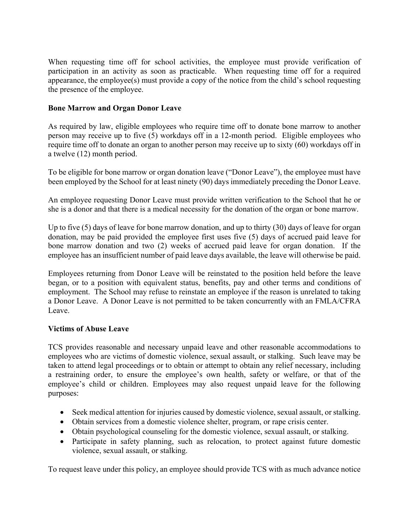When requesting time off for school activities, the employee must provide verification of participation in an activity as soon as practicable. When requesting time off for a required appearance, the employee(s) must provide a copy of the notice from the child's school requesting the presence of the employee.

# **Bone Marrow and Organ Donor Leave**

As required by law, eligible employees who require time off to donate bone marrow to another person may receive up to five (5) workdays off in a 12-month period. Eligible employees who require time off to donate an organ to another person may receive up to sixty (60) workdays off in a twelve (12) month period.

To be eligible for bone marrow or organ donation leave ("Donor Leave"), the employee must have been employed by the School for at least ninety (90) days immediately preceding the Donor Leave.

An employee requesting Donor Leave must provide written verification to the School that he or she is a donor and that there is a medical necessity for the donation of the organ or bone marrow.

Up to five (5) days of leave for bone marrow donation, and up to thirty (30) days of leave for organ donation, may be paid provided the employee first uses five (5) days of accrued paid leave for bone marrow donation and two (2) weeks of accrued paid leave for organ donation. If the employee has an insufficient number of paid leave days available, the leave will otherwise be paid.

Employees returning from Donor Leave will be reinstated to the position held before the leave began, or to a position with equivalent status, benefits, pay and other terms and conditions of employment. The School may refuse to reinstate an employee if the reason is unrelated to taking a Donor Leave. A Donor Leave is not permitted to be taken concurrently with an FMLA/CFRA Leave.

# **Victims of Abuse Leave**

TCS provides reasonable and necessary unpaid leave and other reasonable accommodations to employees who are victims of domestic violence, sexual assault, or stalking. Such leave may be taken to attend legal proceedings or to obtain or attempt to obtain any relief necessary, including a restraining order, to ensure the employee's own health, safety or welfare, or that of the employee's child or children. Employees may also request unpaid leave for the following purposes:

- Seek medical attention for injuries caused by domestic violence, sexual assault, or stalking.
- Obtain services from a domestic violence shelter, program, or rape crisis center.
- Obtain psychological counseling for the domestic violence, sexual assault, or stalking.
- Participate in safety planning, such as relocation, to protect against future domestic violence, sexual assault, or stalking.

To request leave under this policy, an employee should provide TCS with as much advance notice